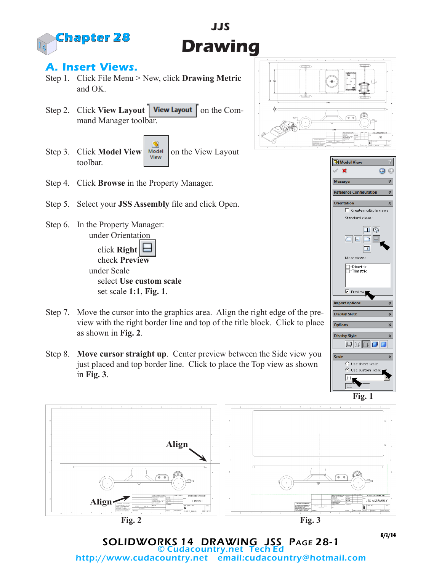

## **A. Insert Views.**

- Step 1. Click File Menu > New, click **Drawing Metric**  and OK.
- Step 2. Click **View Layout** | **View Layout** | on the Command Manager toolbar.
- G Step 3. Click **Model View Notell** on the View Layout toolbar.
- Step 4. Click **Browse** in the Property Manager.
- Step 5. Select your **JSS Assembly** file and click Open.
- Step 6. In the Property Manager: under Orientation click **Right**

 check **Preview** under Scale select **Use custom scale** set scale **1:1**, **Fig. 1**.

- Step 7. Move the cursor into the graphics area. Align the right edge of the preview with the right border line and top of the title block. Click to place as shown in **Fig. 2**.
- Step 8. **Move cursor straight up**. Center preview between the Side view you just placed and top border line. Click to place the Top view as shown in **Fig. 3**.



**JJS**

**Drawing** 



SOLIDWORKS 14 DRAWING JSS Page 28-1 © Cudacountry.net<br>:http://www.cudacountry.net email email:cudacountry@hotmail.com 8/1/14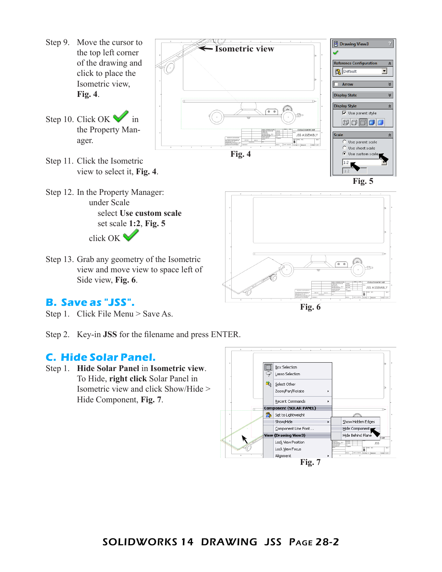- Step 9. Move the cursor to the top left corner of the drawing and click to place the Isometric view, **Fig. 4**.
- Step 10. Click OK  $\bullet$  in the Property Manager.
- Step 11. Click the Isometric view to select it, **Fig. 4**.
- Step 12. In the Property Manager: under Scale select **Use custom scale** set scale **1:2**, **Fig. 5** click OK
- Step 13. Grab any geometry of the Isometric view and move view to space left of Side view, **Fig. 6**.

### **B. Save as "JSS".**

Step 1. Click File Menu > Save As.

Step 2. Key-in **JSS** for the filename and press ENTER.

### **C. Hide Solar Panel.**

Step 1. **Hide Solar Panel** in **Isometric view**. To Hide, **right click** Solar Panel in Isometric view and click Show/Hide > Hide Component, **Fig. 7**.





 $\frac{m}{C^2}$  Drawing View3

**Isometric view**

**Fig. 6**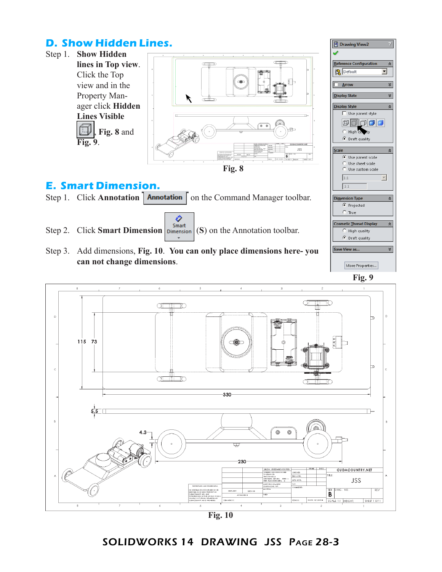# **D. Show Hidden Lines.**







**Fig. 10**

### SOLIDWORKS 14 DRAWING JSS Page 28-3